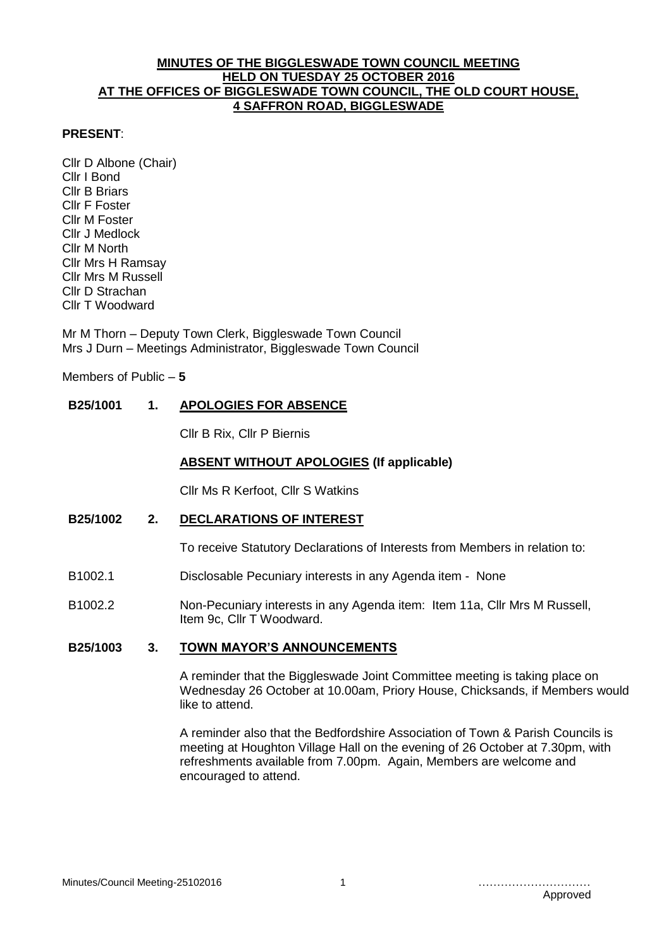### **MINUTES OF THE BIGGLESWADE TOWN COUNCIL MEETING HELD ON TUESDAY 25 OCTOBER 2016 AT THE OFFICES OF BIGGLESWADE TOWN COUNCIL, THE OLD COURT HOUSE, 4 SAFFRON ROAD, BIGGLESWADE**

#### **PRESENT**:

Cllr D Albone (Chair) Cllr I Bond Cllr B Briars Cllr F Foster Cllr M Foster Cllr J Medlock Cllr M North Cllr Mrs H Ramsay Cllr Mrs M Russell Cllr D Strachan Cllr T Woodward

Mr M Thorn – Deputy Town Clerk, Biggleswade Town Council Mrs J Durn – Meetings Administrator, Biggleswade Town Council

Members of Public – **5**

# **B25/1001 1. APOLOGIES FOR ABSENCE**

Cllr B Rix, Cllr P Biernis

### **ABSENT WITHOUT APOLOGIES (If applicable)**

Cllr Ms R Kerfoot, Cllr S Watkins

# **B25/1002 2. DECLARATIONS OF INTEREST**

To receive Statutory Declarations of Interests from Members in relation to:

- B1002.1 Disclosable Pecuniary interests in any Agenda item None
- B1002.2 Non-Pecuniary interests in any Agenda item: Item 11a, Cllr Mrs M Russell, Item 9c, Cllr T Woodward.

## **B25/1003 3. TOWN MAYOR'S ANNOUNCEMENTS**

A reminder that the Biggleswade Joint Committee meeting is taking place on Wednesday 26 October at 10.00am, Priory House, Chicksands, if Members would like to attend.

A reminder also that the Bedfordshire Association of Town & Parish Councils is meeting at Houghton Village Hall on the evening of 26 October at 7.30pm, with refreshments available from 7.00pm. Again, Members are welcome and encouraged to attend.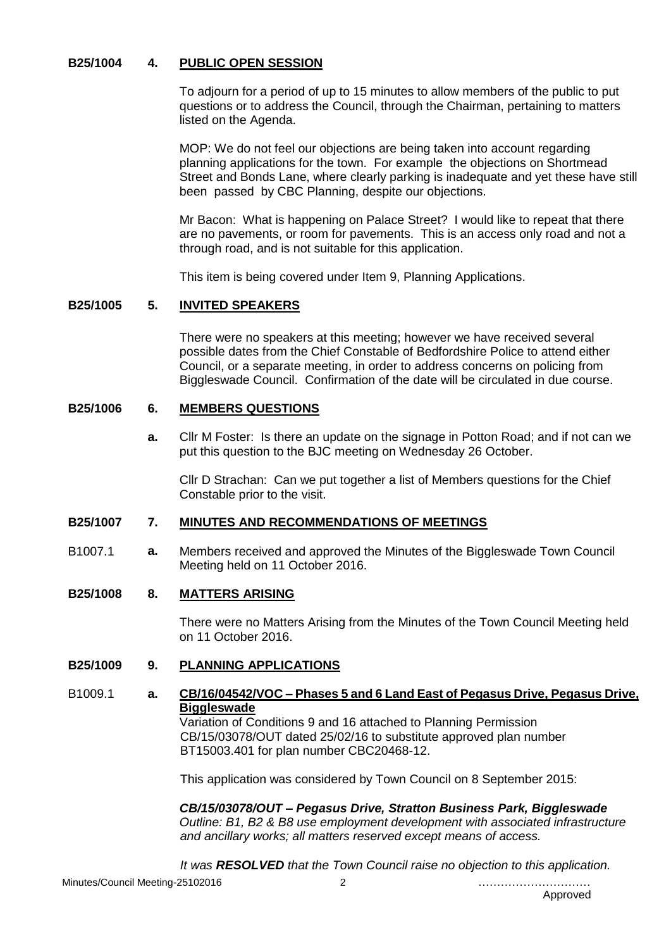# **B25/1004 4. PUBLIC OPEN SESSION**

To adjourn for a period of up to 15 minutes to allow members of the public to put questions or to address the Council, through the Chairman, pertaining to matters listed on the Agenda.

MOP: We do not feel our objections are being taken into account regarding planning applications for the town. For example the objections on Shortmead Street and Bonds Lane, where clearly parking is inadequate and yet these have still been passed by CBC Planning, despite our objections.

Mr Bacon: What is happening on Palace Street? I would like to repeat that there are no pavements, or room for pavements. This is an access only road and not a through road, and is not suitable for this application.

This item is being covered under Item 9, Planning Applications.

# **B25/1005 5. INVITED SPEAKERS**

There were no speakers at this meeting; however we have received several possible dates from the Chief Constable of Bedfordshire Police to attend either Council, or a separate meeting, in order to address concerns on policing from Biggleswade Council. Confirmation of the date will be circulated in due course.

### **B25/1006 6. MEMBERS QUESTIONS**

**a.** Cllr M Foster: Is there an update on the signage in Potton Road; and if not can we put this question to the BJC meeting on Wednesday 26 October.

Cllr D Strachan: Can we put together a list of Members questions for the Chief Constable prior to the visit.

# **B25/1007 7. MINUTES AND RECOMMENDATIONS OF MEETINGS**

B1007.1 **a.** Members received and approved the Minutes of the Biggleswade Town Council Meeting held on 11 October 2016.

#### **B25/1008 8. MATTERS ARISING**

There were no Matters Arising from the Minutes of the Town Council Meeting held on 11 October 2016.

# **B25/1009 9. PLANNING APPLICATIONS**

B1009.1 **a. CB/16/04542/VOC – Phases 5 and 6 Land East of Pegasus Drive, Pegasus Drive, Biggleswade** Variation of Conditions 9 and 16 attached to Planning Permission CB/15/03078/OUT dated 25/02/16 to substitute approved plan number BT15003.401 for plan number CBC20468-12.

This application was considered by Town Council on 8 September 2015:

*CB/15/03078/OUT – Pegasus Drive, Stratton Business Park, Biggleswade Outline: B1, B2 & B8 use employment development with associated infrastructure and ancillary works; all matters reserved except means of access.*

*It was RESOLVED that the Town Council raise no objection to this application.*

Minutes/Council Meeting-25102016 2 …………………………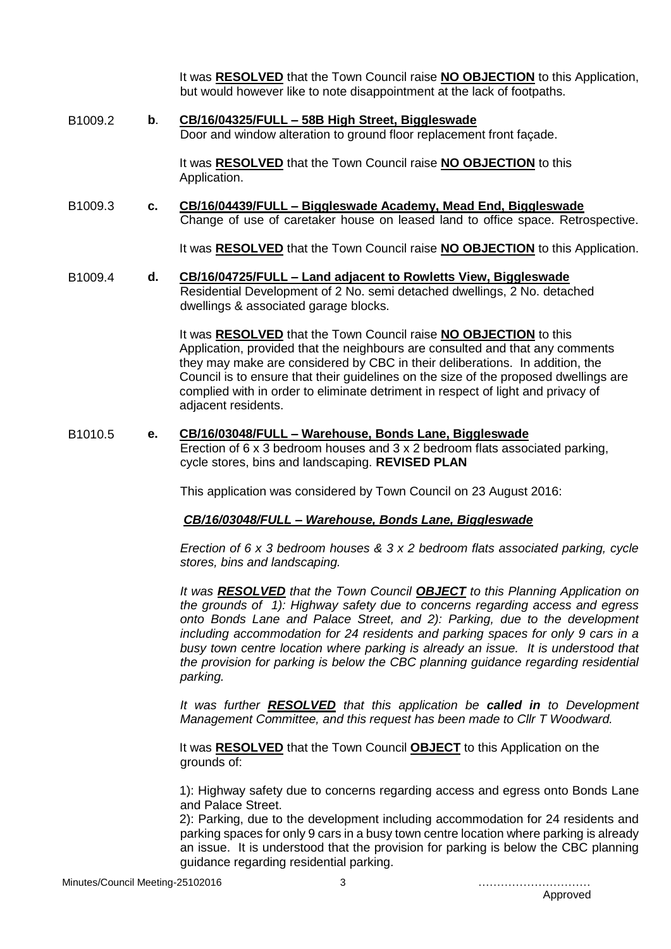It was **RESOLVED** that the Town Council raise **NO OBJECTION** to this Application, but would however like to note disappointment at the lack of footpaths.

B1009.2 **b**. **CB/16/04325/FULL – 58B High Street, Biggleswade** Door and window alteration to ground floor replacement front façade.

> It was **RESOLVED** that the Town Council raise **NO OBJECTION** to this Application.

B1009.3 **c. CB/16/04439/FULL – Biggleswade Academy, Mead End, Biggleswade** Change of use of caretaker house on leased land to office space. Retrospective.

It was **RESOLVED** that the Town Council raise **NO OBJECTION** to this Application.

## B1009.4 **d. CB/16/04725/FULL – Land adjacent to Rowletts View, Biggleswade**

Residential Development of 2 No. semi detached dwellings, 2 No. detached dwellings & associated garage blocks.

It was **RESOLVED** that the Town Council raise **NO OBJECTION** to this Application, provided that the neighbours are consulted and that any comments they may make are considered by CBC in their deliberations. In addition, the Council is to ensure that their guidelines on the size of the proposed dwellings are complied with in order to eliminate detriment in respect of light and privacy of adiacent residents.

### B1010.5 **e. CB/16/03048/FULL – Warehouse, Bonds Lane, Biggleswade** Erection of 6 x 3 bedroom houses and 3 x 2 bedroom flats associated parking, cycle stores, bins and landscaping. **REVISED PLAN**

This application was considered by Town Council on 23 August 2016:

# *CB/16/03048/FULL – Warehouse, Bonds Lane, Biggleswade*

*Erection of 6 x 3 bedroom houses & 3 x 2 bedroom flats associated parking, cycle stores, bins and landscaping.*

*It was RESOLVED that the Town Council OBJECT to this Planning Application on the grounds of 1): Highway safety due to concerns regarding access and egress onto Bonds Lane and Palace Street, and 2): Parking, due to the development including accommodation for 24 residents and parking spaces for only 9 cars in a busy town centre location where parking is already an issue. It is understood that the provision for parking is below the CBC planning guidance regarding residential parking.*

*It was further RESOLVED that this application be called in to Development Management Committee, and this request has been made to Cllr T Woodward.*

It was **RESOLVED** that the Town Council **OBJECT** to this Application on the grounds of:

1): Highway safety due to concerns regarding access and egress onto Bonds Lane and Palace Street.

2): Parking, due to the development including accommodation for 24 residents and parking spaces for only 9 cars in a busy town centre location where parking is already an issue. It is understood that the provision for parking is below the CBC planning guidance regarding residential parking.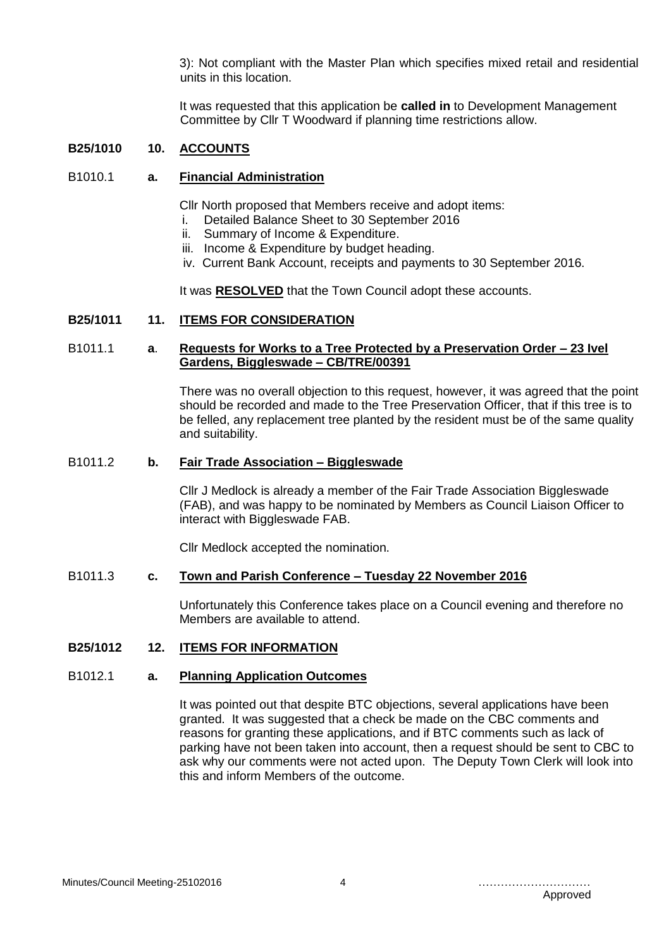3): Not compliant with the Master Plan which specifies mixed retail and residential units in this location.

It was requested that this application be **called in** to Development Management Committee by Cllr T Woodward if planning time restrictions allow.

### **B25/1010 10. ACCOUNTS**

#### B1010.1 **a. Financial Administration**

Cllr North proposed that Members receive and adopt items:

- i. Detailed Balance Sheet to 30 September 2016
- ii. Summary of Income & Expenditure.
- iii. Income & Expenditure by budget heading.
- iv. Current Bank Account, receipts and payments to 30 September 2016.

It was **RESOLVED** that the Town Council adopt these accounts.

### **B25/1011 11. ITEMS FOR CONSIDERATION**

# B1011.1 **a**. **Requests for Works to a Tree Protected by a Preservation Order – 23 Ivel Gardens, Biggleswade – CB/TRE/00391**

There was no overall objection to this request, however, it was agreed that the point should be recorded and made to the Tree Preservation Officer, that if this tree is to be felled, any replacement tree planted by the resident must be of the same quality and suitability.

# B1011.2 **b. Fair Trade Association – Biggleswade**

Cllr J Medlock is already a member of the Fair Trade Association Biggleswade (FAB), and was happy to be nominated by Members as Council Liaison Officer to interact with Biggleswade FAB.

Cllr Medlock accepted the nomination.

#### B1011.3 **c. Town and Parish Conference – Tuesday 22 November 2016**

Unfortunately this Conference takes place on a Council evening and therefore no Members are available to attend.

## **B25/1012 12. ITEMS FOR INFORMATION**

## B1012.1 **a. Planning Application Outcomes**

It was pointed out that despite BTC objections, several applications have been granted. It was suggested that a check be made on the CBC comments and reasons for granting these applications, and if BTC comments such as lack of parking have not been taken into account, then a request should be sent to CBC to ask why our comments were not acted upon. The Deputy Town Clerk will look into this and inform Members of the outcome.